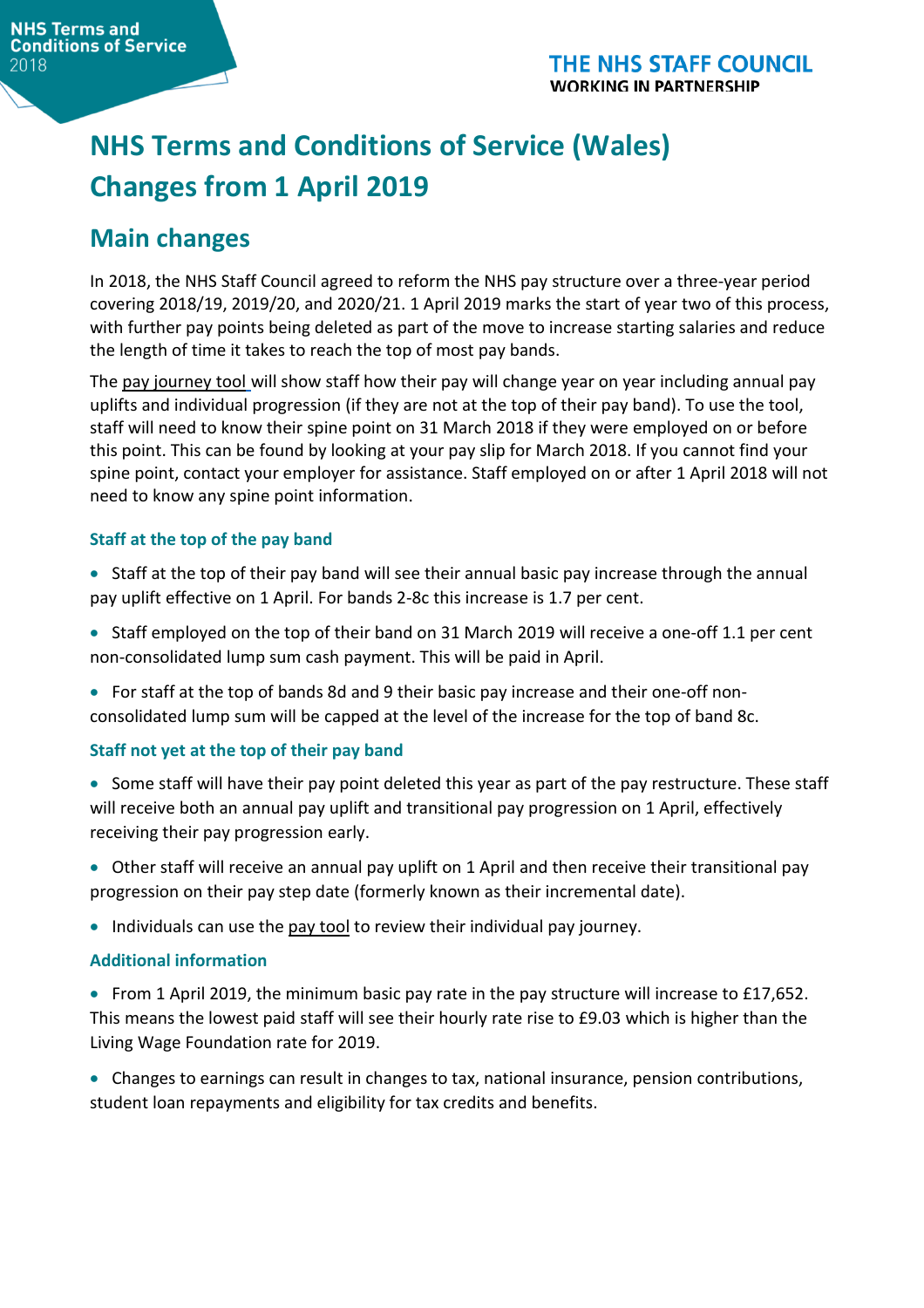# **NHS Terms and Conditions of Service (Wales) Changes from 1 April 2019**

# **Main changes**

In 2018, the NHS Staff Council agreed to reform the NHS pay structure over a three-year period covering 2018/19, 2019/20, and 2020/21. 1 April 2019 marks the start of year two of this process, with further pay points being deleted as part of the move to increase starting salaries and reduce the length of time it takes to reach the top of most pay bands.

The pay [journey](https://www.nhsconfed.org/regions-and-eu/welsh-nhs-confederation/nhs-wales-employers/our-work/terms-and-conditions/pay-deal-2018/pay-tool-2018) tool will show staff how their pay will change year on year including annual pay uplifts and individual progression (if they are not at the top of their pay band). To use the tool, staff will need to know their spine point on 31 March 2018 if they were employed on or before this point. This can be found by looking at your pay slip for March 2018. If you cannot find your spine point, contact your employer for assistance. Staff employed on or after 1 April 2018 will not need to know any spine point information.

#### **Staff at the top of the pay band**

- Staff at the top of their pay band will see their annual basic pay increase through the annual pay uplift effective on 1 April. For bands 2-8c this increase is 1.7 per cent.
- Staff employed on the top of their band on 31 March 2019 will receive a one-off 1.1 per cent non-consolidated lump sum cash payment. This will be paid in April.
- For staff at the top of bands 8d and 9 their basic pay increase and their one-off nonconsolidated lump sum will be capped at the level of the increase for the top of band 8c.

#### **Staff not yet at the top of their pay band**

- Some staff will have their pay point deleted this year as part of the pay restructure. These staff will receive both an annual pay uplift and transitional pay progression on 1 April, effectively receiving their pay progression early.
- Other staff will receive an annual pay uplift on 1 April and then receive their transitional pay progression on their pay step date (formerly known as their incremental date).
- Individuals can use the pay [tool](https://www.nhsconfed.org/regions-and-eu/welsh-nhs-confederation/nhs-wales-employers/our-work/terms-and-conditions/pay-deal-2018/pay-tool-2018) to review their individual pay journey.

#### **Additional information**

- From 1 April 2019, the minimum basic pay rate in the pay structure will increase to £17,652. This means the lowest paid staff will see their hourly rate rise to £9.03 which is higher than the Living Wage Foundation rate for 2019.
- Changes to earnings can result in changes to tax, national insurance, pension contributions, student loan repayments and eligibility for tax credits and benefits.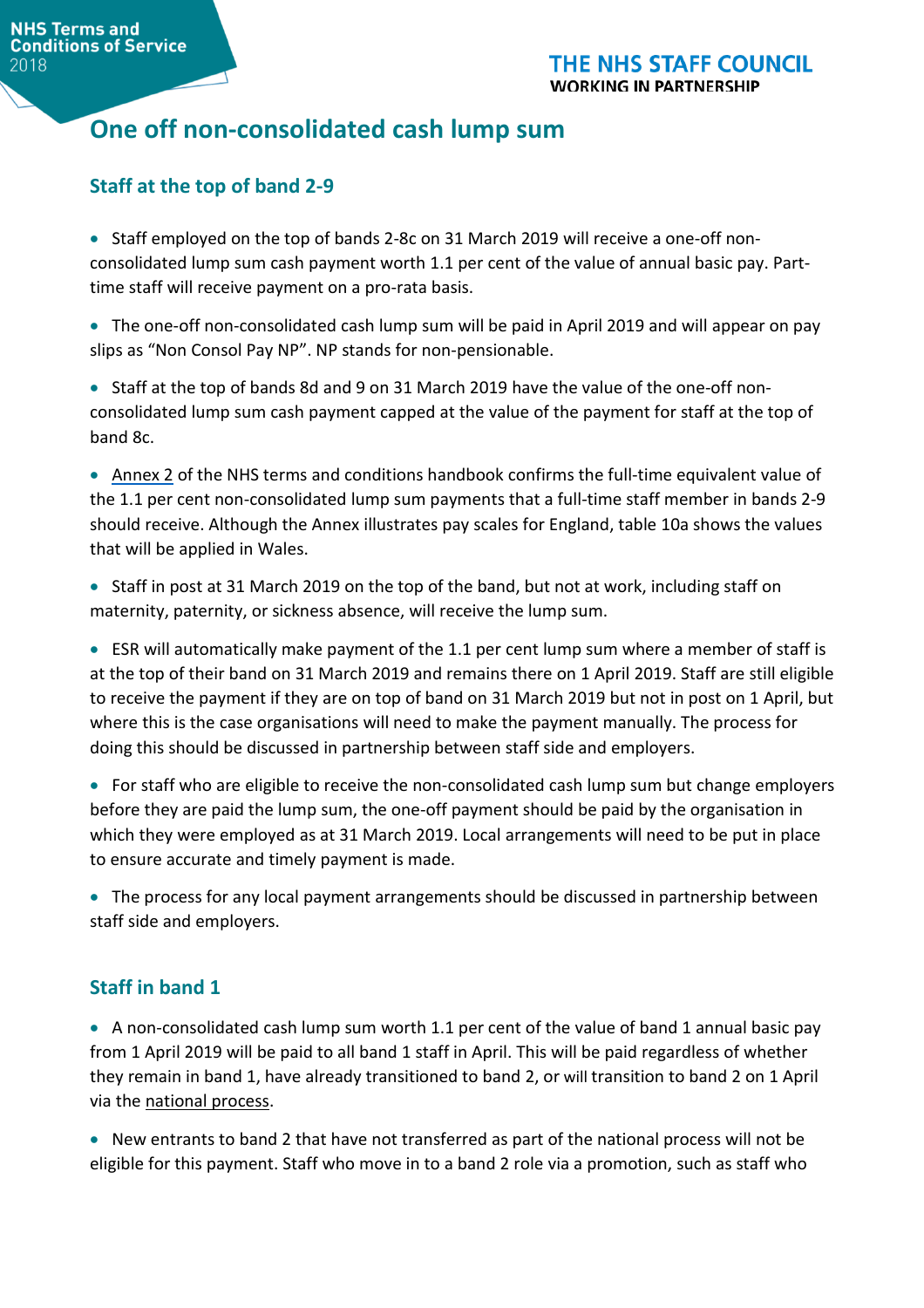# **One off non-consolidated cash lump sum**

### **Staff at the top of band 2-9**

• Staff employed on the top of bands 2-8c on 31 March 2019 will receive a one-off nonconsolidated lump sum cash payment worth 1.1 per cent of the value of annual basic pay. Parttime staff will receive payment on a pro-rata basis.

• The one-off non-consolidated cash lump sum will be paid in April 2019 and will appear on pay slips as "Non Consol Pay NP". NP stands for non-pensionable.

• Staff at the top of bands 8d and 9 on 31 March 2019 have the value of the one-off nonconsolidated lump sum cash payment capped at the value of the payment for staff at the top of band 8c.

• [Annex](https://www.nhsemployers.org/tchandbook/annex-1-to-3/annex-2-pay-bands-and-pay-points-on-the-second-pay-spine-in-england) 2 of the NHS terms and conditions handbook confirms the full-time equivalent value of the 1.1 per cent non-consolidated lump sum payments that a full-time staff member in bands 2-9 should receive. Although the Annex illustrates pay scales for England, table 10a shows the values that will be applied in Wales.

• Staff in post at 31 March 2019 on the top of the band, but not at work, including staff on maternity, paternity, or sickness absence, will receive the lump sum.

• ESR will automatically make payment of the 1.1 per cent lump sum where a member of staff is at the top of their band on 31 March 2019 and remains there on 1 April 2019. Staff are still eligible to receive the payment if they are on top of band on 31 March 2019 but not in post on 1 April, but where this is the case organisations will need to make the payment manually. The process for doing this should be discussed in partnership between staff side and employers.

• For staff who are eligible to receive the non-consolidated cash lump sum but change employers before they are paid the lump sum, the one-off payment should be paid by the organisation in which they were employed as at 31 March 2019. Local arrangements will need to be put in place to ensure accurate and timely payment is made.

• The process for any local payment arrangements should be discussed in partnership between staff side and employers.

### **Staff in band 1**

• A non-consolidated cash lump sum worth 1.1 per cent of the value of band 1 annual basic pay from 1 April 2019 will be paid to all band 1 staff in April. This will be paid regardless of whether they remain in band 1, have already transitioned to band 2, or will transition to band 2 on 1 April via the [national](https://www.nhsconfed.org/-/media/Confederation/Files/Wales-Confed/Wales-Employers/PDF-Band-1-Closure-Guidance---Final.pdf?la=en&hash=C4E6F7ACD253458AD5E158841E00EC4684FDF4CE) process.

• New entrants to band 2 that have not transferred as part of the national process will not be eligible for this payment. Staff who move in to a band 2 role via a promotion, such as staff who